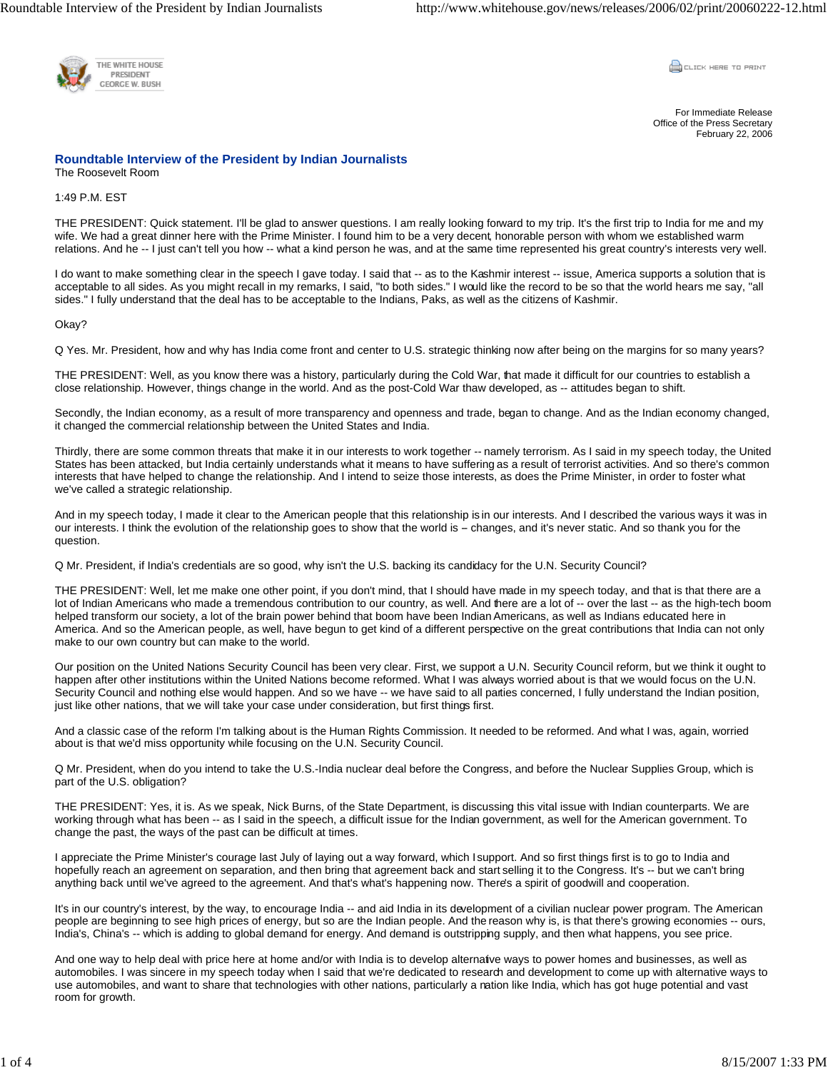

**CLICK HERE TO PRINT** 

For Immediate Release Office of the Press Secretary February 22, 2006

## **Roundtable Interview of the President by Indian Journalists**  The Roosevelt Room

1:49 P.M. EST

THE PRESIDENT: Quick statement. I'll be glad to answer questions. I am really looking forward to my trip. It's the first trip to India for me and my wife. We had a great dinner here with the Prime Minister. I found him to be a very decent, honorable person with whom we established warm relations. And he -- I just can't tell you how -- what a kind person he was, and at the same time represented his great country's interests very well.

I do want to make something clear in the speech I gave today. I said that -- as to the Kashmir interest -- issue, America supports a solution that is acceptable to all sides. As you might recall in my remarks, I said, "to both sides." I would like the record to be so that the world hears me say, "all sides." I fully understand that the deal has to be acceptable to the Indians, Paks, as well as the citizens of Kashmir.

Okay?

Q Yes. Mr. President, how and why has India come front and center to U.S. strategic thinking now after being on the margins for so many years?

THE PRESIDENT: Well, as you know there was a history, particularly during the Cold War, that made it difficult for our countries to establish a close relationship. However, things change in the world. And as the post-Cold War thaw developed, as -- attitudes began to shift.

Secondly, the Indian economy, as a result of more transparency and openness and trade, began to change. And as the Indian economy changed, it changed the commercial relationship between the United States and India.

Thirdly, there are some common threats that make it in our interests to work together -- namely terrorism. As I said in my speech today, the United States has been attacked, but India certainly understands what it means to have suffering as a result of terrorist activities. And so there's common interests that have helped to change the relationship. And I intend to seize those interests, as does the Prime Minister, in order to foster what we've called a strategic relationship.

And in my speech today, I made it clear to the American people that this relationship is in our interests. And I described the various ways it was in our interests. I think the evolution of the relationship goes to show that the world is - changes, and it's never static. And so thank you for the question.

Q Mr. President, if India's credentials are so good, why isn't the U.S. backing its candidacy for the U.N. Security Council?

THE PRESIDENT: Well, let me make one other point, if you don't mind, that I should have made in my speech today, and that is that there are a lot of Indian Americans who made a tremendous contribution to our country, as well. And there are a lot of -- over the last -- as the high-tech boom helped transform our society, a lot of the brain power behind that boom have been Indian Americans, as well as Indians educated here in America. And so the American people, as well, have begun to get kind of a different perspective on the great contributions that India can not only make to our own country but can make to the world.

Our position on the United Nations Security Council has been very clear. First, we support a U.N. Security Council reform, but we think it ought to happen after other institutions within the United Nations become reformed. What I was always worried about is that we would focus on the U.N. Security Council and nothing else would happen. And so we have -- we have said to all parties concerned, I fully understand the Indian position, just like other nations, that we will take your case under consideration, but first things first.

And a classic case of the reform I'm talking about is the Human Rights Commission. It needed to be reformed. And what I was, again, worried about is that we'd miss opportunity while focusing on the U.N. Security Council.

Q Mr. President, when do you intend to take the U.S.-India nuclear deal before the Congress, and before the Nuclear Supplies Group, which is part of the U.S. obligation?

THE PRESIDENT: Yes, it is. As we speak, Nick Burns, of the State Department, is discussing this vital issue with Indian counterparts. We are working through what has been -- as I said in the speech, a difficult issue for the Indian government, as well for the American government. To change the past, the ways of the past can be difficult at times.

I appreciate the Prime Minister's courage last July of laying out a way forward, which I support. And so first things first is to go to India and hopefully reach an agreement on separation, and then bring that agreement back and start selling it to the Congress. It's -- but we can't bring anything back until we've agreed to the agreement. And that's what's happening now. There's a spirit of goodwill and cooperation.

It's in our country's interest, by the way, to encourage India -- and aid India in its development of a civilian nuclear power program. The American people are beginning to see high prices of energy, but so are the Indian people. And the reason why is, is that there's growing economies -- ours, India's, China's -- which is adding to global demand for energy. And demand is outstripping supply, and then what happens, you see price.

And one way to help deal with price here at home and/or with India is to develop alternative ways to power homes and businesses, as well as automobiles. I was sincere in my speech today when I said that we're dedicated to research and development to come up with alternative ways to use automobiles, and want to share that technologies with other nations, particularly a nation like India, which has got huge potential and vast room for growth.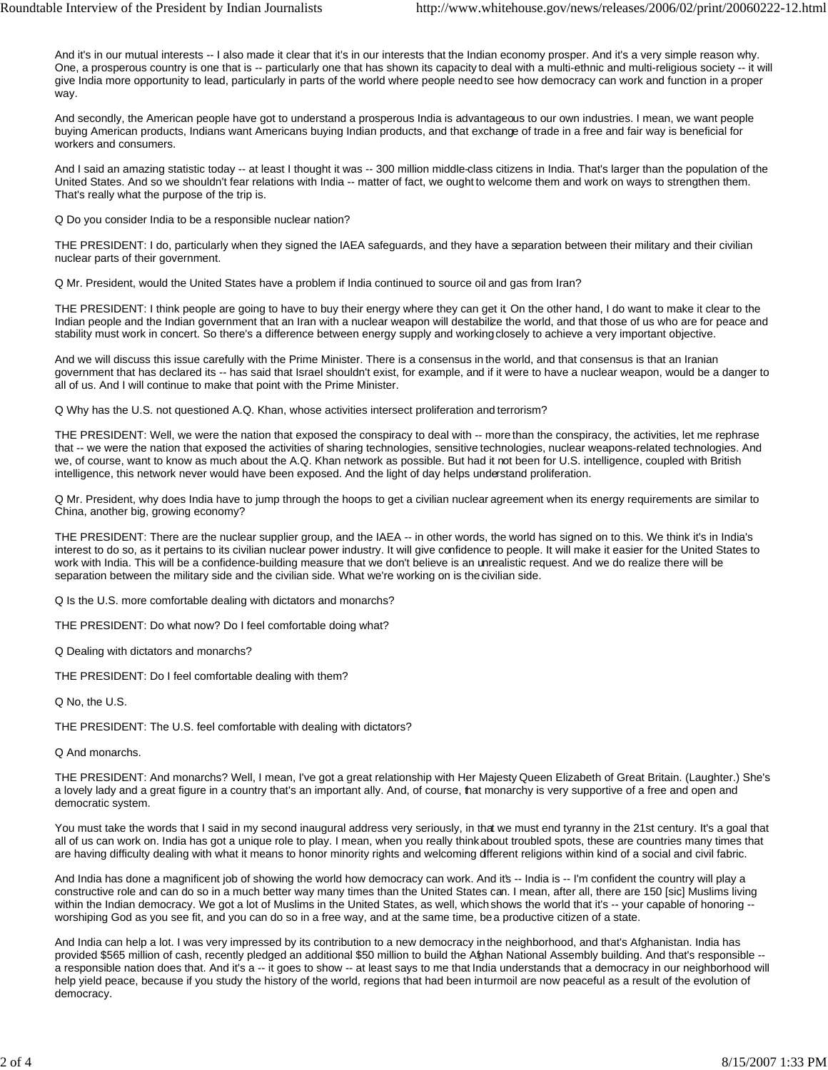And it's in our mutual interests -- I also made it clear that it's in our interests that the Indian economy prosper. And it's a very simple reason why. One, a prosperous country is one that is -- particularly one that has shown its capacity to deal with a multi-ethnic and multi-religious society -- it will give India more opportunity to lead, particularly in parts of the world where people need to see how democracy can work and function in a proper way.

And secondly, the American people have got to understand a prosperous India is advantageous to our own industries. I mean, we want people buying American products, Indians want Americans buying Indian products, and that exchange of trade in a free and fair way is beneficial for workers and consumers.

And I said an amazing statistic today -- at least I thought it was -- 300 million middle-class citizens in India. That's larger than the population of the United States. And so we shouldn't fear relations with India -- matter of fact, we ought to welcome them and work on ways to strengthen them. That's really what the purpose of the trip is.

Q Do you consider India to be a responsible nuclear nation?

THE PRESIDENT: I do, particularly when they signed the IAEA safeguards, and they have a separation between their military and their civilian nuclear parts of their government.

Q Mr. President, would the United States have a problem if India continued to source oil and gas from Iran?

THE PRESIDENT: I think people are going to have to buy their energy where they can get it. On the other hand, I do want to make it clear to the Indian people and the Indian government that an Iran with a nuclear weapon will destabilize the world, and that those of us who are for peace and stability must work in concert. So there's a difference between energy supply and working closely to achieve a very important objective.

And we will discuss this issue carefully with the Prime Minister. There is a consensus in the world, and that consensus is that an Iranian government that has declared its -- has said that Israel shouldn't exist, for example, and if it were to have a nuclear weapon, would be a danger to all of us. And I will continue to make that point with the Prime Minister.

Q Why has the U.S. not questioned A.Q. Khan, whose activities intersect proliferation and terrorism?

THE PRESIDENT: Well, we were the nation that exposed the conspiracy to deal with -- more than the conspiracy, the activities, let me rephrase that -- we were the nation that exposed the activities of sharing technologies, sensitive technologies, nuclear weapons-related technologies. And we, of course, want to know as much about the A.Q. Khan network as possible. But had it not been for U.S. intelligence, coupled with British intelligence, this network never would have been exposed. And the light of day helps understand proliferation.

Q Mr. President, why does India have to jump through the hoops to get a civilian nuclear agreement when its energy requirements are similar to China, another big, growing economy?

THE PRESIDENT: There are the nuclear supplier group, and the IAEA -- in other words, the world has signed on to this. We think it's in India's interest to do so, as it pertains to its civilian nuclear power industry. It will give confidence to people. It will make it easier for the United States to work with India. This will be a confidence-building measure that we don't believe is an unrealistic request. And we do realize there will be separation between the military side and the civilian side. What we're working on is the civilian side.

Q Is the U.S. more comfortable dealing with dictators and monarchs?

THE PRESIDENT: Do what now? Do I feel comfortable doing what?

Q Dealing with dictators and monarchs?

THE PRESIDENT: Do I feel comfortable dealing with them?

Q No, the U.S.

THE PRESIDENT: The U.S. feel comfortable with dealing with dictators?

Q And monarchs.

THE PRESIDENT: And monarchs? Well, I mean, I've got a great relationship with Her Majesty Queen Elizabeth of Great Britain. (Laughter.) She's a lovely lady and a great figure in a country that's an important ally. And, of course, that monarchy is very supportive of a free and open and democratic system.

You must take the words that I said in my second inaugural address very seriously, in that we must end tyranny in the 21st century. It's a goal that all of us can work on. India has got a unique role to play. I mean, when you really think about troubled spots, these are countries many times that are having difficulty dealing with what it means to honor minority rights and welcoming different religions within kind of a social and civil fabric.

And India has done a magnificent job of showing the world how democracy can work. And its -- India is -- I'm confident the country will play a constructive role and can do so in a much better way many times than the United States can. I mean, after all, there are 150 [sic] Muslims living within the Indian democracy. We got a lot of Muslims in the United States, as well, which shows the world that it's -- your capable of honoring -worshiping God as you see fit, and you can do so in a free way, and at the same time, be a productive citizen of a state.

And India can help a lot. I was very impressed by its contribution to a new democracy in the neighborhood, and that's Afghanistan. India has provided \$565 million of cash, recently pledged an additional \$50 million to build the Afghan National Assembly building. And that's responsible - a responsible nation does that. And it's a -- it goes to show -- at least says to me that India understands that a democracy in our neighborhood will help yield peace, because if you study the history of the world, regions that had been in turmoil are now peaceful as a result of the evolution of democracy.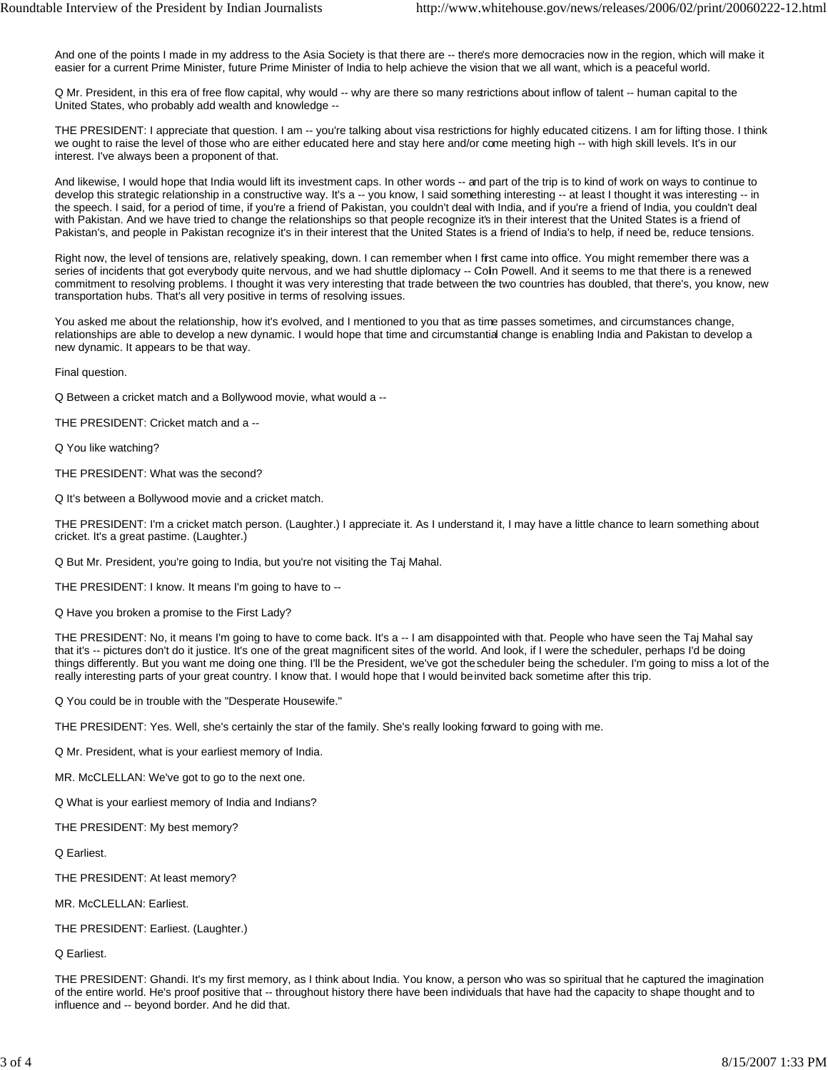And one of the points I made in my address to the Asia Society is that there are -- there's more democracies now in the region, which will make it easier for a current Prime Minister, future Prime Minister of India to help achieve the vision that we all want, which is a peaceful world.

Q Mr. President, in this era of free flow capital, why would -- why are there so many restrictions about inflow of talent -- human capital to the United States, who probably add wealth and knowledge --

THE PRESIDENT: I appreciate that question. I am -- you're talking about visa restrictions for highly educated citizens. I am for lifting those. I think we ought to raise the level of those who are either educated here and stay here and/or come meeting high -- with high skill levels. It's in our interest. I've always been a proponent of that.

And likewise, I would hope that India would lift its investment caps. In other words -- and part of the trip is to kind of work on ways to continue to develop this strategic relationship in a constructive way. It's a -- you know, I said something interesting -- at least I thought it was interesting -- in the speech. I said, for a period of time, if you're a friend of Pakistan, you couldn't deal with India, and if you're a friend of India, you couldn't deal with Pakistan. And we have tried to change the relationships so that people recognize it's in their interest that the United States is a friend of Pakistan's, and people in Pakistan recognize it's in their interest that the United States is a friend of India's to help, if need be, reduce tensions.

Right now, the level of tensions are, relatively speaking, down. I can remember when I first came into office. You might remember there was a series of incidents that got everybody quite nervous, and we had shuttle diplomacy -- Coln Powell. And it seems to me that there is a renewed commitment to resolving problems. I thought it was very interesting that trade between the two countries has doubled, that there's, you know, new transportation hubs. That's all very positive in terms of resolving issues.

You asked me about the relationship, how it's evolved, and I mentioned to you that as time passes sometimes, and circumstances change, relationships are able to develop a new dynamic. I would hope that time and circumstantial change is enabling India and Pakistan to develop a new dynamic. It appears to be that way.

Final question.

Q Between a cricket match and a Bollywood movie, what would a --

THE PRESIDENT: Cricket match and a --

Q You like watching?

THE PRESIDENT: What was the second?

Q It's between a Bollywood movie and a cricket match.

THE PRESIDENT: I'm a cricket match person. (Laughter.) I appreciate it. As I understand it, I may have a little chance to learn something about cricket. It's a great pastime. (Laughter.)

Q But Mr. President, you're going to India, but you're not visiting the Taj Mahal.

THE PRESIDENT: I know. It means I'm going to have to --

Q Have you broken a promise to the First Lady?

THE PRESIDENT: No, it means I'm going to have to come back. It's a -- I am disappointed with that. People who have seen the Taj Mahal say that it's -- pictures don't do it justice. It's one of the great magnificent sites of the world. And look, if I were the scheduler, perhaps I'd be doing things differently. But you want me doing one thing. I'll be the President, we've got the scheduler being the scheduler. I'm going to miss a lot of the really interesting parts of your great country. I know that. I would hope that I would be invited back sometime after this trip.

Q You could be in trouble with the "Desperate Housewife."

THE PRESIDENT: Yes. Well, she's certainly the star of the family. She's really looking forward to going with me.

Q Mr. President, what is your earliest memory of India.

MR. McCLELLAN: We've got to go to the next one.

Q What is your earliest memory of India and Indians?

THE PRESIDENT: My best memory?

Q Earliest.

THE PRESIDENT: At least memory?

MR. McCLELLAN: Earliest.

THE PRESIDENT: Earliest. (Laughter.)

Q Earliest.

THE PRESIDENT: Ghandi. It's my first memory, as I think about India. You know, a person who was so spiritual that he captured the imagination of the entire world. He's proof positive that -- throughout history there have been individuals that have had the capacity to shape thought and to influence and -- beyond border. And he did that.